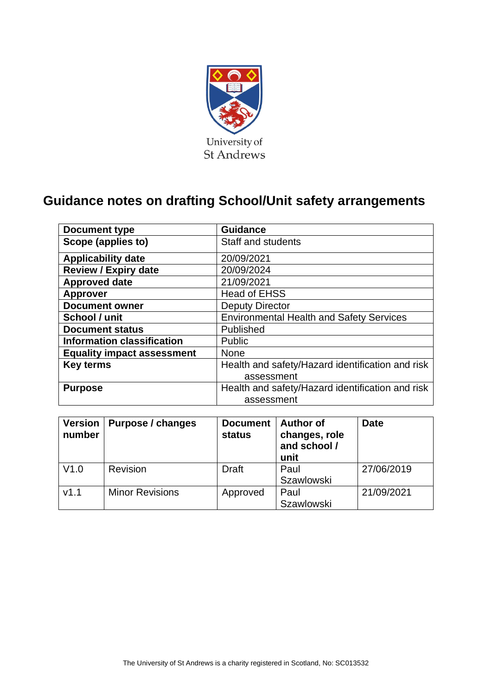

# **Guidance notes on drafting School/Unit safety arrangements**

| Document type                     | <b>Guidance</b>                                  |
|-----------------------------------|--------------------------------------------------|
| Scope (applies to)                | <b>Staff and students</b>                        |
| <b>Applicability date</b>         | 20/09/2021                                       |
| <b>Review / Expiry date</b>       | 20/09/2024                                       |
| <b>Approved date</b>              | 21/09/2021                                       |
| <b>Approver</b>                   | <b>Head of EHSS</b>                              |
| <b>Document owner</b>             | <b>Deputy Director</b>                           |
| School / unit                     | <b>Environmental Health and Safety Services</b>  |
| <b>Document status</b>            | Published                                        |
| <b>Information classification</b> | Public                                           |
| <b>Equality impact assessment</b> | <b>None</b>                                      |
| <b>Key terms</b>                  | Health and safety/Hazard identification and risk |
|                                   | assessment                                       |
| <b>Purpose</b>                    | Health and safety/Hazard identification and risk |
|                                   | assessment                                       |

| <b>Version</b><br>number | Purpose / changes      | <b>Document</b><br>status | <b>Author of</b><br>changes, role<br>and school /<br>unit | <b>Date</b> |
|--------------------------|------------------------|---------------------------|-----------------------------------------------------------|-------------|
| V1.0                     | Revision               | <b>Draft</b>              | Paul<br><b>Szawlowski</b>                                 | 27/06/2019  |
| V1.1                     | <b>Minor Revisions</b> | Approved                  | Paul<br><b>Szawlowski</b>                                 | 21/09/2021  |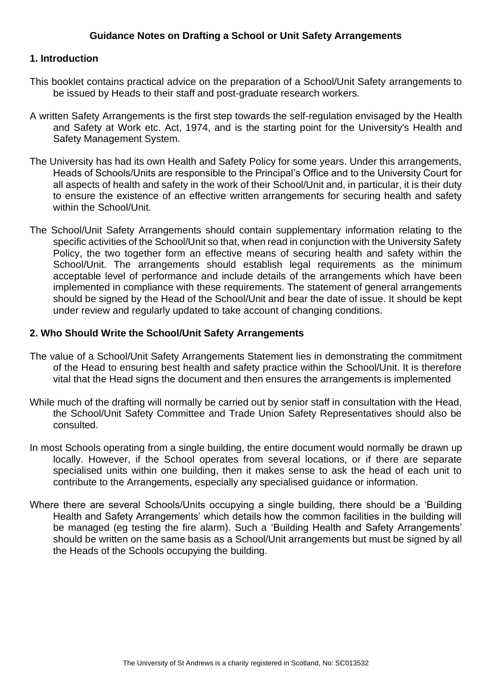#### **1. Introduction**

- This booklet contains practical advice on the preparation of a School/Unit Safety arrangements to be issued by Heads to their staff and post-graduate research workers.
- A written Safety Arrangements is the first step towards the self-regulation envisaged by the Health and Safety at Work etc. Act, 1974, and is the starting point for the University's Health and Safety Management System.
- The University has had its own Health and Safety Policy for some years. Under this arrangements, Heads of Schools/Units are responsible to the Principal's Office and to the University Court for all aspects of health and safety in the work of their School/Unit and, in particular, it is their duty to ensure the existence of an effective written arrangements for securing health and safety within the School/Unit.
- The School/Unit Safety Arrangements should contain supplementary information relating to the specific activities of the School/Unit so that, when read in conjunction with the University Safety Policy, the two together form an effective means of securing health and safety within the School/Unit. The arrangements should establish legal requirements as the minimum acceptable level of performance and include details of the arrangements which have been implemented in compliance with these requirements. The statement of general arrangements should be signed by the Head of the School/Unit and bear the date of issue. It should be kept under review and regularly updated to take account of changing conditions.

#### **2. Who Should Write the School/Unit Safety Arrangements**

- The value of a School/Unit Safety Arrangements Statement lies in demonstrating the commitment of the Head to ensuring best health and safety practice within the School/Unit. It is therefore vital that the Head signs the document and then ensures the arrangements is implemented
- While much of the drafting will normally be carried out by senior staff in consultation with the Head, the School/Unit Safety Committee and Trade Union Safety Representatives should also be consulted.
- In most Schools operating from a single building, the entire document would normally be drawn up locally. However, if the School operates from several locations, or if there are separate specialised units within one building, then it makes sense to ask the head of each unit to contribute to the Arrangements, especially any specialised guidance or information.
- Where there are several Schools/Units occupying a single building, there should be a 'Building Health and Safety Arrangements' which details how the common facilities in the building will be managed (eg testing the fire alarm). Such a 'Building Health and Safety Arrangements' should be written on the same basis as a School/Unit arrangements but must be signed by all the Heads of the Schools occupying the building.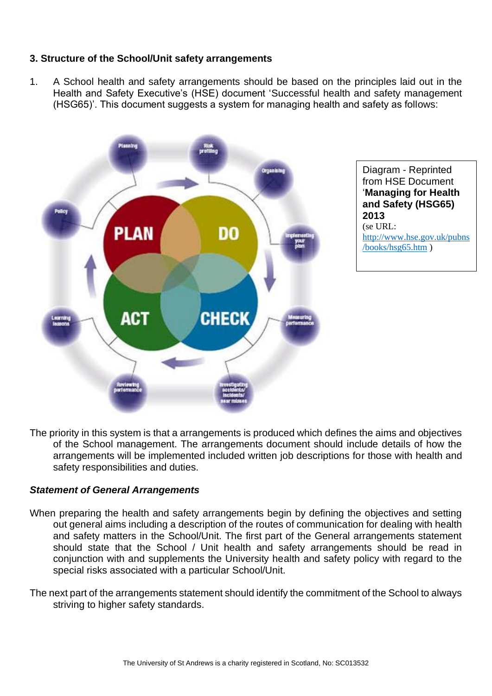#### **3. Structure of the School/Unit safety arrangements**

1. A School health and safety arrangements should be based on the principles laid out in the Health and Safety Executive's (HSE) document 'Successful health and safety management (HSG65)'. This document suggests a system for managing health and safety as follows:



Diagram - Reprinted from HSE Document '**Managing for Health and Safety (HSG65) 2013** (se URL: [http://www.hse.gov.uk/pubns](http://www.hse.gov.uk/pubns/books/hsg65.htm) [/books/hsg65.htm](http://www.hse.gov.uk/pubns/books/hsg65.htm) )

The priority in this system is that a arrangements is produced which defines the aims and objectives of the School management. The arrangements document should include details of how the arrangements will be implemented included written job descriptions for those with health and safety responsibilities and duties.

#### *Statement of General Arrangements*

- When preparing the health and safety arrangements begin by defining the objectives and setting out general aims including a description of the routes of communication for dealing with health and safety matters in the School/Unit. The first part of the General arrangements statement should state that the School / Unit health and safety arrangements should be read in conjunction with and supplements the University health and safety policy with regard to the special risks associated with a particular School/Unit.
- The next part of the arrangements statement should identify the commitment of the School to always striving to higher safety standards.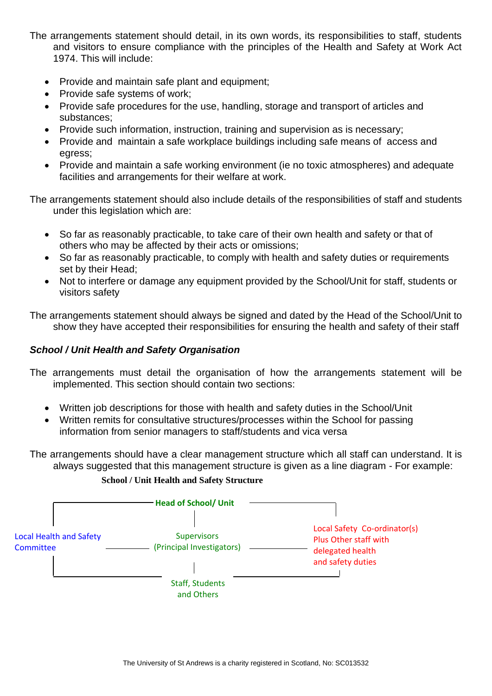The arrangements statement should detail, in its own words, its responsibilities to staff, students and visitors to ensure compliance with the principles of the Health and Safety at Work Act 1974. This will include:

- Provide and maintain safe plant and equipment;
- Provide safe systems of work;
- Provide safe procedures for the use, handling, storage and transport of articles and substances;
- Provide such information, instruction, training and supervision as is necessary;
- Provide and maintain a safe workplace buildings including safe means of access and egress;
- Provide and maintain a safe working environment (ie no toxic atmospheres) and adequate facilities and arrangements for their welfare at work.

The arrangements statement should also include details of the responsibilities of staff and students under this legislation which are:

- So far as reasonably practicable, to take care of their own health and safety or that of others who may be affected by their acts or omissions;
- So far as reasonably practicable, to comply with health and safety duties or requirements set by their Head;
- Not to interfere or damage any equipment provided by the School/Unit for staff, students or visitors safety

The arrangements statement should always be signed and dated by the Head of the School/Unit to show they have accepted their responsibilities for ensuring the health and safety of their staff

#### *School / Unit Health and Safety Organisation*

- The arrangements must detail the organisation of how the arrangements statement will be implemented. This section should contain two sections:
	- Written job descriptions for those with health and safety duties in the School/Unit
	- Written remits for consultative structures/processes within the School for passing information from senior managers to staff/students and vica versa

The arrangements should have a clear management structure which all staff can understand. It is always suggested that this management structure is given as a line diagram - For example:



#### **School / Unit Health and Safety Structure**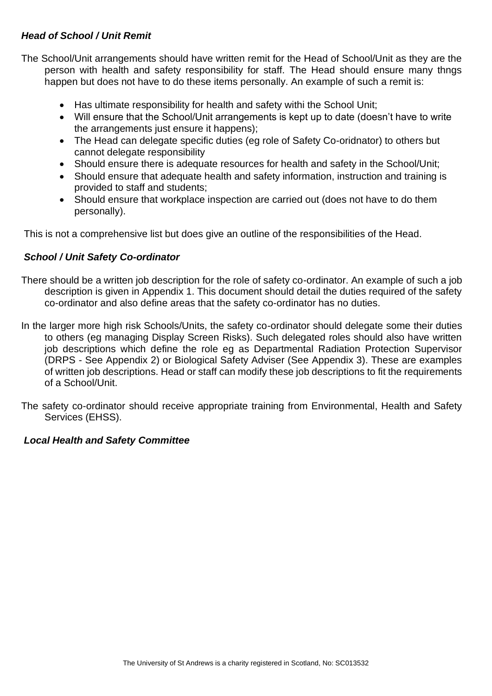## *Head of School / Unit Remit*

The School/Unit arrangements should have written remit for the Head of School/Unit as they are the person with health and safety responsibility for staff. The Head should ensure many thngs happen but does not have to do these items personally. An example of such a remit is:

- Has ultimate responsibility for health and safety withi the School Unit;
- Will ensure that the School/Unit arrangements is kept up to date (doesn't have to write the arrangements just ensure it happens);
- The Head can delegate specific duties (eg role of Safety Co-oridnator) to others but cannot delegate responsibility
- Should ensure there is adequate resources for health and safety in the School/Unit;
- Should ensure that adequate health and safety information, instruction and training is provided to staff and students;
- Should ensure that workplace inspection are carried out (does not have to do them personally).

This is not a comprehensive list but does give an outline of the responsibilities of the Head.

#### *School / Unit Safety Co-ordinator*

- There should be a written job description for the role of safety co-ordinator. An example of such a job description is given in Appendix 1. This document should detail the duties required of the safety co-ordinator and also define areas that the safety co-ordinator has no duties.
- In the larger more high risk Schools/Units, the safety co-ordinator should delegate some their duties to others (eg managing Display Screen Risks). Such delegated roles should also have written job descriptions which define the role eg as Departmental Radiation Protection Supervisor (DRPS - See Appendix 2) or Biological Safety Adviser (See Appendix 3). These are examples of written job descriptions. Head or staff can modify these job descriptions to fit the requirements of a School/Unit.
- The safety co-ordinator should receive appropriate training from Environmental, Health and Safety Services (EHSS).

#### *Local Health and Safety Committee*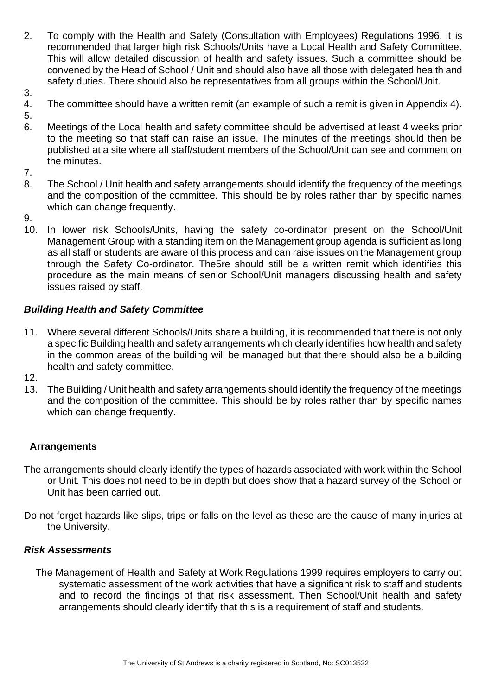- 2. To comply with the Health and Safety (Consultation with Employees) Regulations 1996, it is recommended that larger high risk Schools/Units have a Local Health and Safety Committee. This will allow detailed discussion of health and safety issues. Such a committee should be convened by the Head of School / Unit and should also have all those with delegated health and safety duties. There should also be representatives from all groups within the School/Unit.
- 3.
- 4. The committee should have a written remit (an example of such a remit is given in Appendix 4).
- 5.
- 6. Meetings of the Local health and safety committee should be advertised at least 4 weeks prior to the meeting so that staff can raise an issue. The minutes of the meetings should then be published at a site where all staff/student members of the School/Unit can see and comment on the minutes.
- 7.
- 8. The School / Unit health and safety arrangements should identify the frequency of the meetings and the composition of the committee. This should be by roles rather than by specific names which can change frequently.
- 9.
- 10. In lower risk Schools/Units, having the safety co-ordinator present on the School/Unit Management Group with a standing item on the Management group agenda is sufficient as long as all staff or students are aware of this process and can raise issues on the Management group through the Safety Co-ordinator. The5re should still be a written remit which identifies this procedure as the main means of senior School/Unit managers discussing health and safety issues raised by staff.

# *Building Health and Safety Committee*

- 11. Where several different Schools/Units share a building, it is recommended that there is not only a specific Building health and safety arrangements which clearly identifies how health and safety in the common areas of the building will be managed but that there should also be a building health and safety committee.
- 12.
- 13. The Building / Unit health and safety arrangements should identify the frequency of the meetings and the composition of the committee. This should be by roles rather than by specific names which can change frequently.

## **Arrangements**

- The arrangements should clearly identify the types of hazards associated with work within the School or Unit. This does not need to be in depth but does show that a hazard survey of the School or Unit has been carried out.
- Do not forget hazards like slips, trips or falls on the level as these are the cause of many injuries at the University.

## *Risk Assessments*

The Management of Health and Safety at Work Regulations 1999 requires employers to carry out systematic assessment of the work activities that have a significant risk to staff and students and to record the findings of that risk assessment. Then School/Unit health and safety arrangements should clearly identify that this is a requirement of staff and students.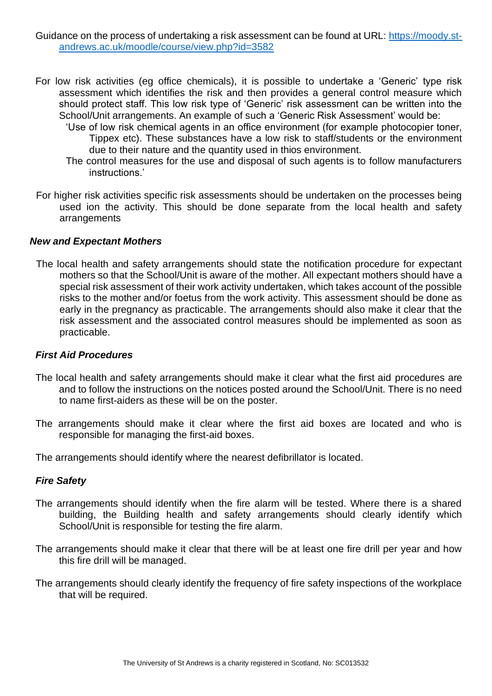#### Guidance on the process of undertaking a risk assessment can be found at URL: [https://moody.st](https://moody.st-andrews.ac.uk/moodle/course/view.php?id=3582)[andrews.ac.uk/moodle/course/view.php?id=3582](https://moody.st-andrews.ac.uk/moodle/course/view.php?id=3582)

- For low risk activities (eg office chemicals), it is possible to undertake a 'Generic' type risk assessment which identifies the risk and then provides a general control measure which should protect staff. This low risk type of 'Generic' risk assessment can be written into the School/Unit arrangements. An example of such a 'Generic Risk Assessment' would be:
	- 'Use of low risk chemical agents in an office environment (for example photocopier toner, Tippex etc). These substances have a low risk to staff/students or the environment due to their nature and the quantity used in thios environment.
	- The control measures for the use and disposal of such agents is to follow manufacturers instructions.'
- For higher risk activities specific risk assessments should be undertaken on the processes being used ion the activity. This should be done separate from the local health and safety arrangements

#### *New and Expectant Mothers*

The local health and safety arrangements should state the notification procedure for expectant mothers so that the School/Unit is aware of the mother. All expectant mothers should have a special risk assessment of their work activity undertaken, which takes account of the possible risks to the mother and/or foetus from the work activity. This assessment should be done as early in the pregnancy as practicable. The arrangements should also make it clear that the risk assessment and the associated control measures should be implemented as soon as practicable.

#### *First Aid Procedures*

- The local health and safety arrangements should make it clear what the first aid procedures are and to follow the instructions on the notices posted around the School/Unit. There is no need to name first-aiders as these will be on the poster.
- The arrangements should make it clear where the first aid boxes are located and who is responsible for managing the first-aid boxes.

The arrangements should identify where the nearest defibrillator is located.

#### *Fire Safety*

- The arrangements should identify when the fire alarm will be tested. Where there is a shared building, the Building health and safety arrangements should clearly identify which School/Unit is responsible for testing the fire alarm.
- The arrangements should make it clear that there will be at least one fire drill per year and how this fire drill will be managed.
- The arrangements should clearly identify the frequency of fire safety inspections of the workplace that will be required.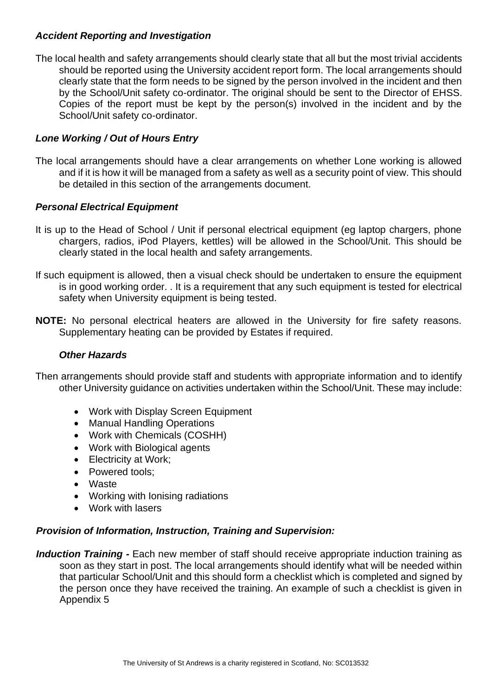## *Accident Reporting and Investigation*

The local health and safety arrangements should clearly state that all but the most trivial accidents should be reported using the University accident report form. The local arrangements should clearly state that the form needs to be signed by the person involved in the incident and then by the School/Unit safety co-ordinator. The original should be sent to the Director of EHSS. Copies of the report must be kept by the person(s) involved in the incident and by the School/Unit safety co-ordinator.

## *Lone Working / Out of Hours Entry*

The local arrangements should have a clear arrangements on whether Lone working is allowed and if it is how it will be managed from a safety as well as a security point of view. This should be detailed in this section of the arrangements document.

## *Personal Electrical Equipment*

- It is up to the Head of School / Unit if personal electrical equipment (eg laptop chargers, phone chargers, radios, iPod Players, kettles) will be allowed in the School/Unit. This should be clearly stated in the local health and safety arrangements.
- If such equipment is allowed, then a visual check should be undertaken to ensure the equipment is in good working order. . It is a requirement that any such equipment is tested for electrical safety when University equipment is being tested.
- **NOTE:** No personal electrical heaters are allowed in the University for fire safety reasons. Supplementary heating can be provided by Estates if required.

#### *Other Hazards*

Then arrangements should provide staff and students with appropriate information and to identify other University guidance on activities undertaken within the School/Unit. These may include:

- Work with Display Screen Equipment
- Manual Handling Operations
- Work with Chemicals (COSHH)
- Work with Biological agents
- Electricity at Work;
- Powered tools;
- Waste
- Working with Ionising radiations
- Work with lasers

#### *Provision of Information, Instruction, Training and Supervision:*

*Induction Training -* Each new member of staff should receive appropriate induction training as soon as they start in post. The local arrangements should identify what will be needed within that particular School/Unit and this should form a checklist which is completed and signed by the person once they have received the training. An example of such a checklist is given in Appendix 5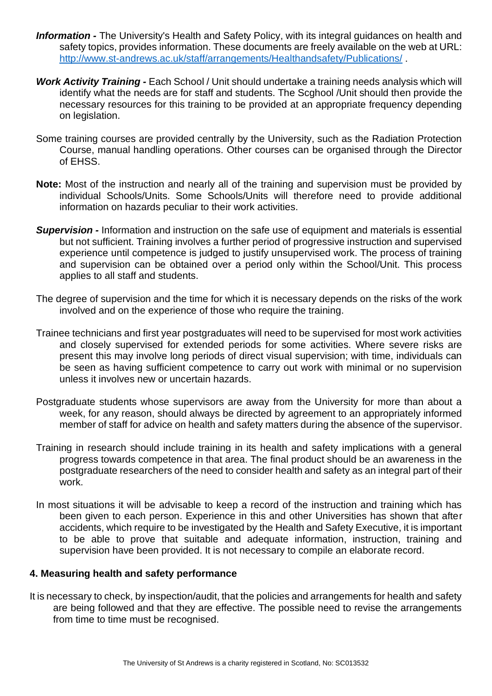- *Information -* The University's Health and Safety Policy, with its integral guidances on health and safety topics, provides information. These documents are freely available on the web at URL: [http://www.st-andrews.ac.uk/staff/arrangements/Healthandsafety/Publications/](http://www.st-andrews.ac.uk/staff/policy/Healthandsafety/Publications/).
- *Work Activity Training -* Each School / Unit should undertake a training needs analysis which will identify what the needs are for staff and students. The Scghool /Unit should then provide the necessary resources for this training to be provided at an appropriate frequency depending on legislation.
- Some training courses are provided centrally by the University, such as the Radiation Protection Course, manual handling operations. Other courses can be organised through the Director of EHSS.
- **Note:** Most of the instruction and nearly all of the training and supervision must be provided by individual Schools/Units. Some Schools/Units will therefore need to provide additional information on hazards peculiar to their work activities.
- *Supervision -* Information and instruction on the safe use of equipment and materials is essential but not sufficient. Training involves a further period of progressive instruction and supervised experience until competence is judged to justify unsupervised work. The process of training and supervision can be obtained over a period only within the School/Unit. This process applies to all staff and students.
- The degree of supervision and the time for which it is necessary depends on the risks of the work involved and on the experience of those who require the training.
- Trainee technicians and first year postgraduates will need to be supervised for most work activities and closely supervised for extended periods for some activities. Where severe risks are present this may involve long periods of direct visual supervision; with time, individuals can be seen as having sufficient competence to carry out work with minimal or no supervision unless it involves new or uncertain hazards.
- Postgraduate students whose supervisors are away from the University for more than about a week, for any reason, should always be directed by agreement to an appropriately informed member of staff for advice on health and safety matters during the absence of the supervisor.
- Training in research should include training in its health and safety implications with a general progress towards competence in that area. The final product should be an awareness in the postgraduate researchers of the need to consider health and safety as an integral part of their work.
- In most situations it will be advisable to keep a record of the instruction and training which has been given to each person. Experience in this and other Universities has shown that after accidents, which require to be investigated by the Health and Safety Executive, it is important to be able to prove that suitable and adequate information, instruction, training and supervision have been provided. It is not necessary to compile an elaborate record.

#### **4. Measuring health and safety performance**

It is necessary to check, by inspection/audit, that the policies and arrangements for health and safety are being followed and that they are effective. The possible need to revise the arrangements from time to time must be recognised.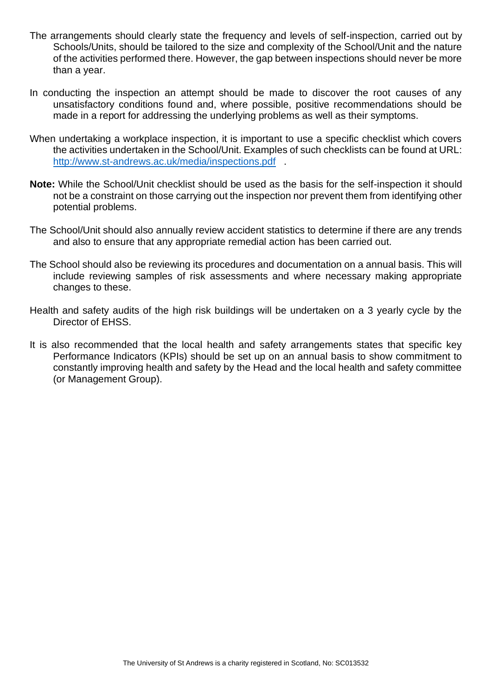- The arrangements should clearly state the frequency and levels of self-inspection, carried out by Schools/Units, should be tailored to the size and complexity of the School/Unit and the nature of the activities performed there. However, the gap between inspections should never be more than a year.
- In conducting the inspection an attempt should be made to discover the root causes of any unsatisfactory conditions found and, where possible, positive recommendations should be made in a report for addressing the underlying problems as well as their symptoms.
- When undertaking a workplace inspection, it is important to use a specific checklist which covers the activities undertaken in the School/Unit. Examples of such checklists can be found at URL: <http://www.st-andrews.ac.uk/media/inspections.pdf>.
- **Note:** While the School/Unit checklist should be used as the basis for the self-inspection it should not be a constraint on those carrying out the inspection nor prevent them from identifying other potential problems.
- The School/Unit should also annually review accident statistics to determine if there are any trends and also to ensure that any appropriate remedial action has been carried out.
- The School should also be reviewing its procedures and documentation on a annual basis. This will include reviewing samples of risk assessments and where necessary making appropriate changes to these.
- Health and safety audits of the high risk buildings will be undertaken on a 3 yearly cycle by the Director of EHSS.
- It is also recommended that the local health and safety arrangements states that specific key Performance Indicators (KPIs) should be set up on an annual basis to show commitment to constantly improving health and safety by the Head and the local health and safety committee (or Management Group).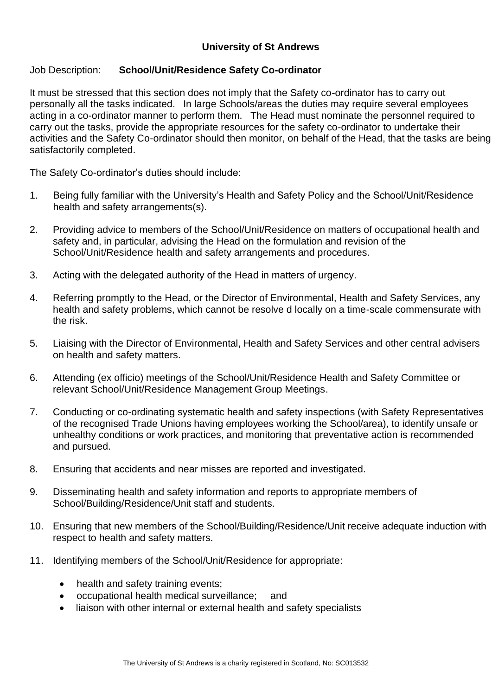## **University of St Andrews**

## Job Description: **School/Unit/Residence Safety Co-ordinator**

It must be stressed that this section does not imply that the Safety co-ordinator has to carry out personally all the tasks indicated. In large Schools/areas the duties may require several employees acting in a co-ordinator manner to perform them. The Head must nominate the personnel required to carry out the tasks, provide the appropriate resources for the safety co-ordinator to undertake their activities and the Safety Co-ordinator should then monitor, on behalf of the Head, that the tasks are being satisfactorily completed.

The Safety Co-ordinator's duties should include:

- 1. Being fully familiar with the University's Health and Safety Policy and the School/Unit/Residence health and safety arrangements(s).
- 2. Providing advice to members of the School/Unit/Residence on matters of occupational health and safety and, in particular, advising the Head on the formulation and revision of the School/Unit/Residence health and safety arrangements and procedures.
- 3. Acting with the delegated authority of the Head in matters of urgency.
- 4. Referring promptly to the Head, or the Director of Environmental, Health and Safety Services, any health and safety problems, which cannot be resolve d locally on a time-scale commensurate with the risk.
- 5. Liaising with the Director of Environmental, Health and Safety Services and other central advisers on health and safety matters.
- 6. Attending (ex officio) meetings of the School/Unit/Residence Health and Safety Committee or relevant School/Unit/Residence Management Group Meetings.
- 7. Conducting or co-ordinating systematic health and safety inspections (with Safety Representatives of the recognised Trade Unions having employees working the School/area), to identify unsafe or unhealthy conditions or work practices, and monitoring that preventative action is recommended and pursued.
- 8. Ensuring that accidents and near misses are reported and investigated.
- 9. Disseminating health and safety information and reports to appropriate members of School/Building/Residence/Unit staff and students.
- 10. Ensuring that new members of the School/Building/Residence/Unit receive adequate induction with respect to health and safety matters.
- 11. Identifying members of the School/Unit/Residence for appropriate:
	- health and safety training events;
	- occupational health medical surveillance; and
	- liaison with other internal or external health and safety specialists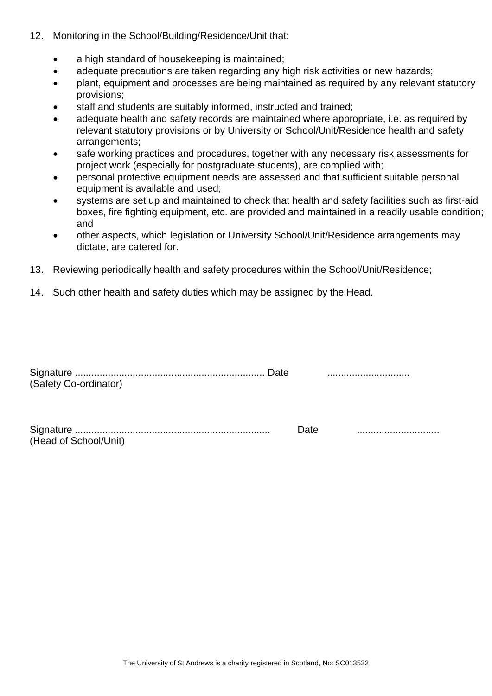- 12. Monitoring in the School/Building/Residence/Unit that:
	- a high standard of housekeeping is maintained;
	- adequate precautions are taken regarding any high risk activities or new hazards:
	- plant, equipment and processes are being maintained as required by any relevant statutory provisions;
	- staff and students are suitably informed, instructed and trained;
	- adequate health and safety records are maintained where appropriate, i.e. as required by relevant statutory provisions or by University or School/Unit/Residence health and safety arrangements;
	- safe working practices and procedures, together with any necessary risk assessments for project work (especially for postgraduate students), are complied with;
	- personal protective equipment needs are assessed and that sufficient suitable personal equipment is available and used;
	- systems are set up and maintained to check that health and safety facilities such as first-aid boxes, fire fighting equipment, etc. are provided and maintained in a readily usable condition; and
	- other aspects, which legislation or University School/Unit/Residence arrangements may dictate, are catered for.
- 13. Reviewing periodically health and safety procedures within the School/Unit/Residence;
- 14. Such other health and safety duties which may be assigned by the Head.

| (Safety Co-ordinator) |  |
|-----------------------|--|
|                       |  |
| $\sim$ $\sim$         |  |

| (Head of School/Unit) |  |
|-----------------------|--|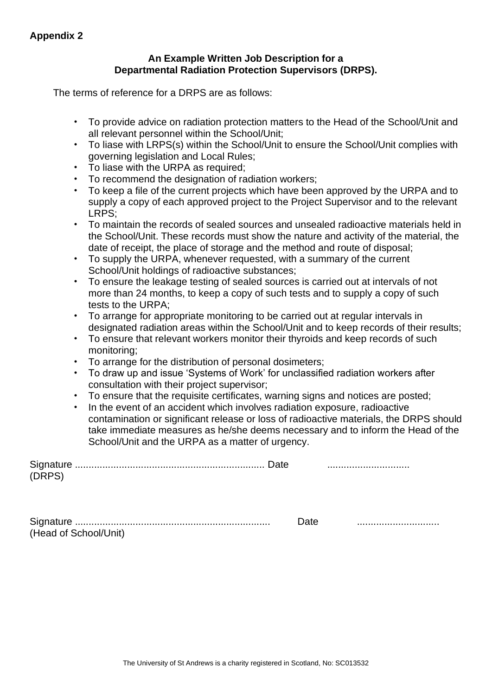#### **An Example Written Job Description for a Departmental Radiation Protection Supervisors (DRPS).**

The terms of reference for a DRPS are as follows:

- To provide advice on radiation protection matters to the Head of the School/Unit and all relevant personnel within the School/Unit;
- To liase with LRPS(s) within the School/Unit to ensure the School/Unit complies with governing legislation and Local Rules;
- To liase with the URPA as required;
- To recommend the designation of radiation workers;
- To keep a file of the current projects which have been approved by the URPA and to supply a copy of each approved project to the Project Supervisor and to the relevant LRPS;
- To maintain the records of sealed sources and unsealed radioactive materials held in the School/Unit. These records must show the nature and activity of the material, the date of receipt, the place of storage and the method and route of disposal;
- To supply the URPA, whenever requested, with a summary of the current School/Unit holdings of radioactive substances;
- To ensure the leakage testing of sealed sources is carried out at intervals of not more than 24 months, to keep a copy of such tests and to supply a copy of such tests to the URPA;
- To arrange for appropriate monitoring to be carried out at regular intervals in designated radiation areas within the School/Unit and to keep records of their results;
- To ensure that relevant workers monitor their thyroids and keep records of such monitoring;
- To arrange for the distribution of personal dosimeters;
- To draw up and issue 'Systems of Work' for unclassified radiation workers after consultation with their project supervisor;
- To ensure that the requisite certificates, warning signs and notices are posted;
- In the event of an accident which involves radiation exposure, radioactive contamination or significant release or loss of radioactive materials, the DRPS should take immediate measures as he/she deems necessary and to inform the Head of the School/Unit and the URPA as a matter of urgency.

| (DRPS) |  |
|--------|--|
|        |  |
|        |  |

|                       | ' Idlu |  |
|-----------------------|--------|--|
| (Head of School/Unit) |        |  |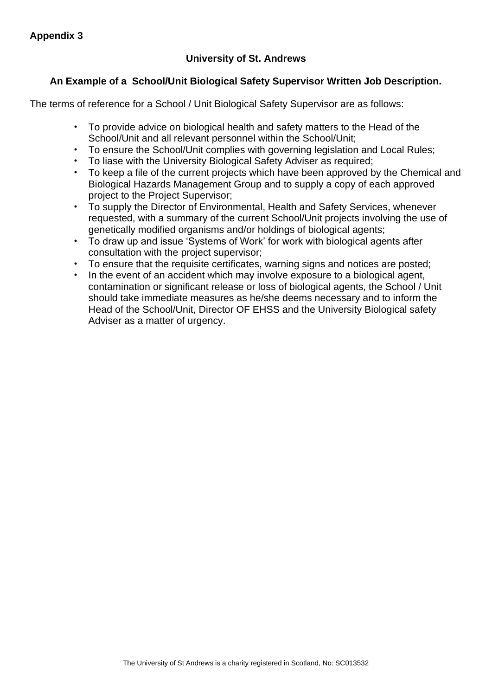# **University of St. Andrews**

# **An Example of a School/Unit Biological Safety Supervisor Written Job Description.**

The terms of reference for a School / Unit Biological Safety Supervisor are as follows:

- To provide advice on biological health and safety matters to the Head of the School/Unit and all relevant personnel within the School/Unit;
- To ensure the School/Unit complies with governing legislation and Local Rules;
- To liase with the University Biological Safety Adviser as required;
- To keep a file of the current projects which have been approved by the Chemical and Biological Hazards Management Group and to supply a copy of each approved project to the Project Supervisor;
- To supply the Director of Environmental, Health and Safety Services, whenever requested, with a summary of the current School/Unit projects involving the use of genetically modified organisms and/or holdings of biological agents;
- To draw up and issue 'Systems of Work' for work with biological agents after consultation with the project supervisor;
- To ensure that the requisite certificates, warning signs and notices are posted;
- In the event of an accident which may involve exposure to a biological agent, contamination or significant release or loss of biological agents, the School / Unit should take immediate measures as he/she deems necessary and to inform the Head of the School/Unit, Director OF EHSS and the University Biological safety Adviser as a matter of urgency.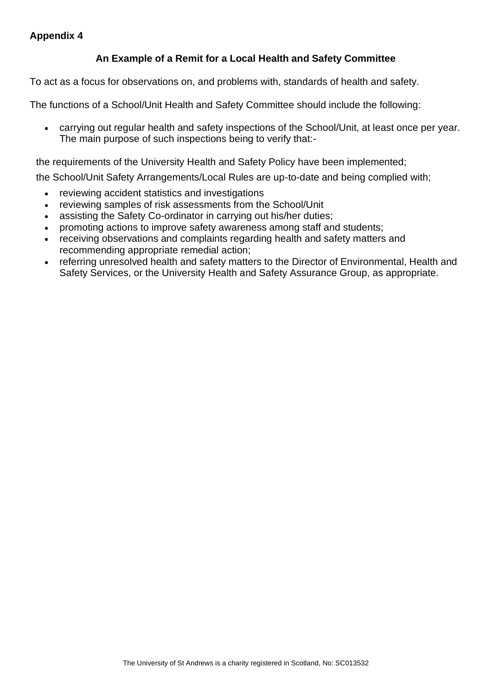## **Appendix 4**

## **An Example of a Remit for a Local Health and Safety Committee**

To act as a focus for observations on, and problems with, standards of health and safety.

The functions of a School/Unit Health and Safety Committee should include the following:

• carrying out regular health and safety inspections of the School/Unit, at least once per year. The main purpose of such inspections being to verify that:-

the requirements of the University Health and Safety Policy have been implemented;

the School/Unit Safety Arrangements/Local Rules are up-to-date and being complied with;

- reviewing accident statistics and investigations
- reviewing samples of risk assessments from the School/Unit
- assisting the Safety Co-ordinator in carrying out his/her duties;
- promoting actions to improve safety awareness among staff and students;
- receiving observations and complaints regarding health and safety matters and recommending appropriate remedial action;
- referring unresolved health and safety matters to the Director of Environmental, Health and Safety Services, or the University Health and Safety Assurance Group, as appropriate.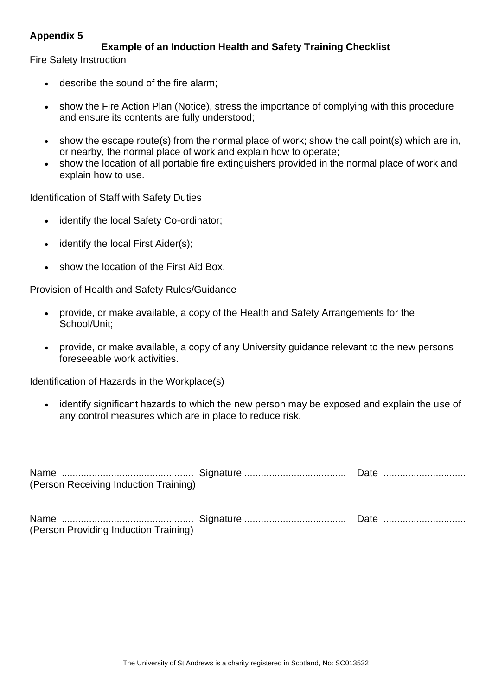## **Appendix 5**

# **Example of an Induction Health and Safety Training Checklist**

Fire Safety Instruction

- describe the sound of the fire alarm;
- show the Fire Action Plan (Notice), stress the importance of complying with this procedure and ensure its contents are fully understood;
- show the escape route(s) from the normal place of work; show the call point(s) which are in, or nearby, the normal place of work and explain how to operate;
- show the location of all portable fire extinguishers provided in the normal place of work and explain how to use.

Identification of Staff with Safety Duties

- identify the local Safety Co-ordinator;
- identify the local First Aider(s);
- show the location of the First Aid Box.

Provision of Health and Safety Rules/Guidance

- provide, or make available, a copy of the Health and Safety Arrangements for the School/Unit;
- provide, or make available, a copy of any University guidance relevant to the new persons foreseeable work activities.

Identification of Hazards in the Workplace(s)

• identify significant hazards to which the new person may be exposed and explain the use of any control measures which are in place to reduce risk.

| (Person Receiving Induction Training) |  |
|---------------------------------------|--|
| (Person Providing Induction Training) |  |